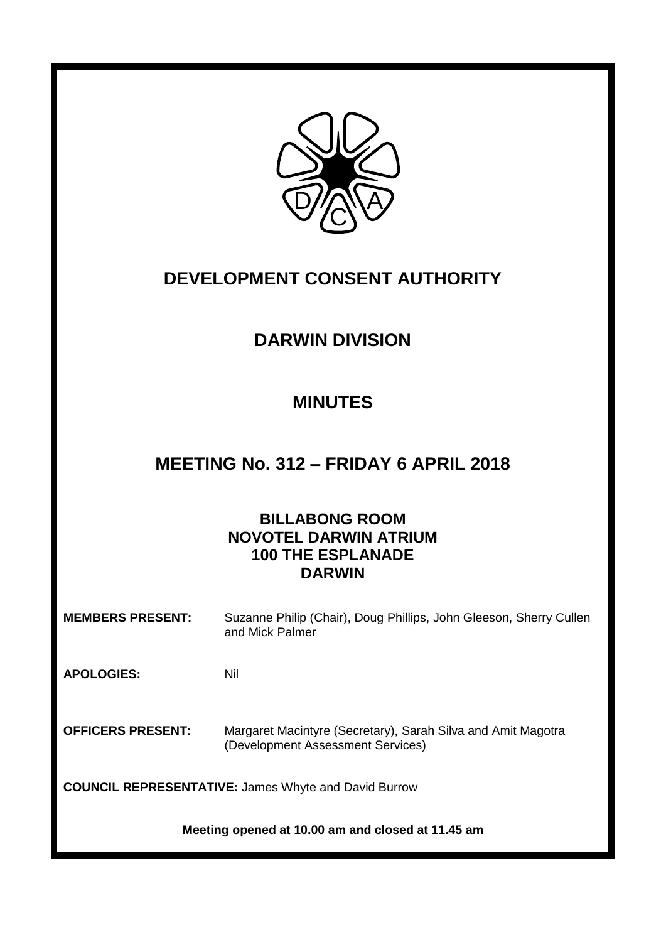

# **DEVELOPMENT CONSENT AUTHORITY**

# **DARWIN DIVISION**

# **MINUTES**

# **MEETING No. 312 – FRIDAY 6 APRIL 2018**

# **BILLABONG ROOM NOVOTEL DARWIN ATRIUM 100 THE ESPLANADE DARWIN**

**MEMBERS PRESENT:** Suzanne Philip (Chair), Doug Phillips, John Gleeson, Sherry Cullen and Mick Palmer

**APOLOGIES:** Nil

**OFFICERS PRESENT:** Margaret Macintyre (Secretary), Sarah Silva and Amit Magotra (Development Assessment Services)

**COUNCIL REPRESENTATIVE:** James Whyte and David Burrow

**Meeting opened at 10.00 am and closed at 11.45 am**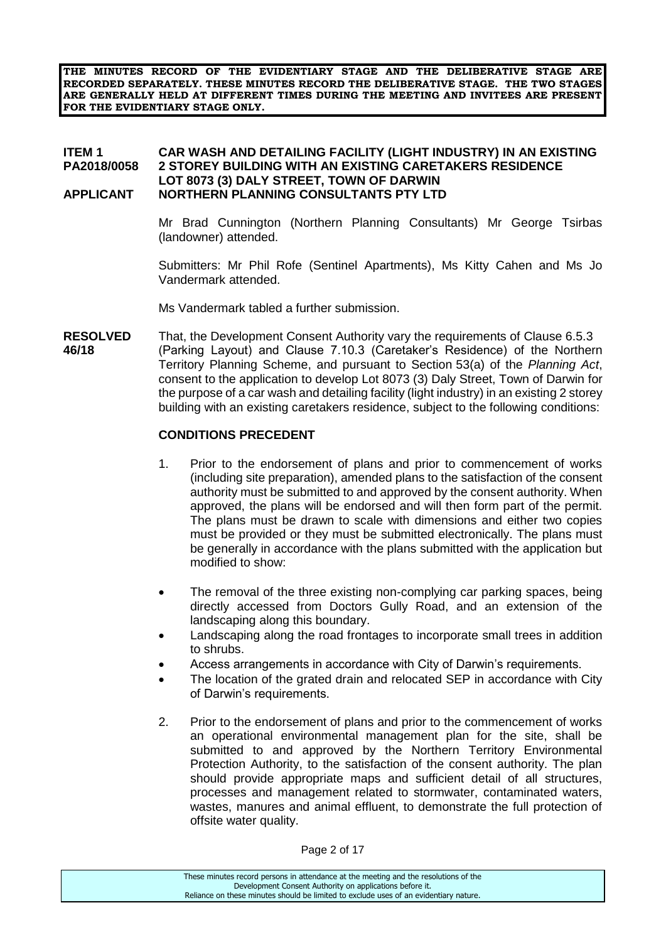**THE MINUTES RECORD OF THE EVIDENTIARY STAGE AND THE DELIBERATIVE STAGE ARE RECORDED SEPARATELY. THESE MINUTES RECORD THE DELIBERATIVE STAGE. THE TWO STAGES ARE GENERALLY HELD AT DIFFERENT TIMES DURING THE MEETING AND INVITEES ARE PRESENT FOR THE EVIDENTIARY STAGE ONLY.**

#### **ITEM 1 CAR WASH AND DETAILING FACILITY (LIGHT INDUSTRY) IN AN EXISTING 2 STOREY BUILDING WITH AN EXISTING CARETAKERS RESIDENCE LOT 8073 (3) DALY STREET, TOWN OF DARWIN APPLICANT NORTHERN PLANNING CONSULTANTS PTY LTD**

Mr Brad Cunnington (Northern Planning Consultants) Mr George Tsirbas (landowner) attended.

Submitters: Mr Phil Rofe (Sentinel Apartments), Ms Kitty Cahen and Ms Jo Vandermark attended.

Ms Vandermark tabled a further submission.

**RESOLVED** That, the Development Consent Authority vary the requirements of Clause 6.5.3 **46/18** (Parking Layout) and Clause 7.10.3 (Caretaker's Residence) of the Northern Territory Planning Scheme, and pursuant to Section 53(a) of the *Planning Act*, consent to the application to develop Lot 8073 (3) Daly Street, Town of Darwin for the purpose of a car wash and detailing facility (light industry) in an existing 2 storey building with an existing caretakers residence, subject to the following conditions:

#### **CONDITIONS PRECEDENT**

- 1. Prior to the endorsement of plans and prior to commencement of works (including site preparation), amended plans to the satisfaction of the consent authority must be submitted to and approved by the consent authority. When approved, the plans will be endorsed and will then form part of the permit. The plans must be drawn to scale with dimensions and either two copies must be provided or they must be submitted electronically. The plans must be generally in accordance with the plans submitted with the application but modified to show:
- The removal of the three existing non-complying car parking spaces, being directly accessed from Doctors Gully Road, and an extension of the landscaping along this boundary.
- Landscaping along the road frontages to incorporate small trees in addition to shrubs.
- Access arrangements in accordance with City of Darwin's requirements.
- The location of the grated drain and relocated SEP in accordance with City of Darwin's requirements.
- 2. Prior to the endorsement of plans and prior to the commencement of works an operational environmental management plan for the site, shall be submitted to and approved by the Northern Territory Environmental Protection Authority, to the satisfaction of the consent authority. The plan should provide appropriate maps and sufficient detail of all structures, processes and management related to stormwater, contaminated waters, wastes, manures and animal effluent, to demonstrate the full protection of offsite water quality.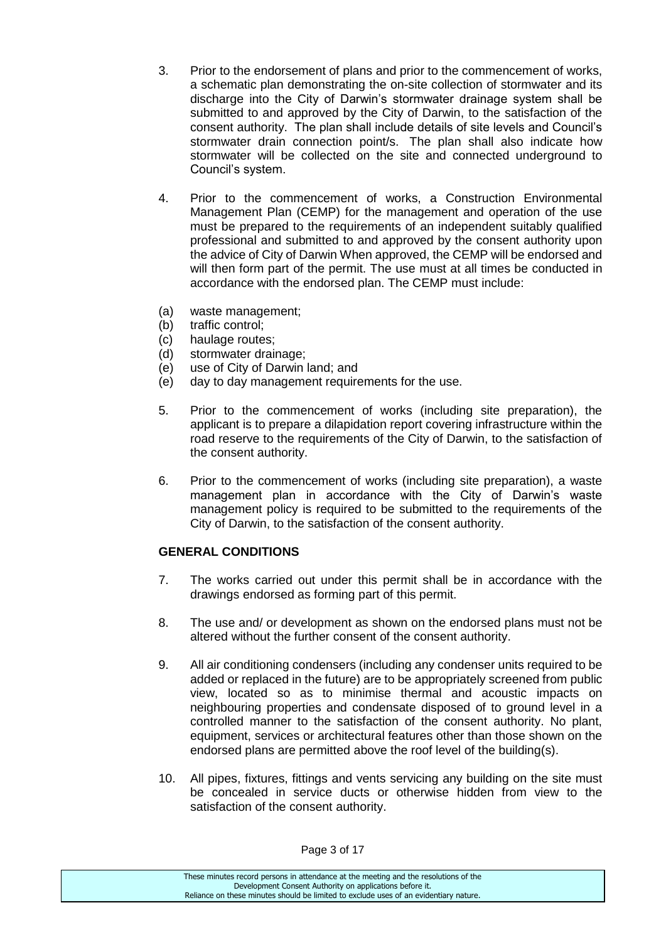- 3. Prior to the endorsement of plans and prior to the commencement of works, a schematic plan demonstrating the on-site collection of stormwater and its discharge into the City of Darwin's stormwater drainage system shall be submitted to and approved by the City of Darwin, to the satisfaction of the consent authority. The plan shall include details of site levels and Council's stormwater drain connection point/s. The plan shall also indicate how stormwater will be collected on the site and connected underground to Council's system.
- 4. Prior to the commencement of works, a Construction Environmental Management Plan (CEMP) for the management and operation of the use must be prepared to the requirements of an independent suitably qualified professional and submitted to and approved by the consent authority upon the advice of City of Darwin When approved, the CEMP will be endorsed and will then form part of the permit. The use must at all times be conducted in accordance with the endorsed plan. The CEMP must include:
- (a) waste management;
- (b) traffic control;
- (c) haulage routes;
- (d) stormwater drainage;
- (e) use of City of Darwin land; and
- (e) day to day management requirements for the use.
- 5. Prior to the commencement of works (including site preparation), the applicant is to prepare a dilapidation report covering infrastructure within the road reserve to the requirements of the City of Darwin, to the satisfaction of the consent authority.
- 6. Prior to the commencement of works (including site preparation), a waste management plan in accordance with the City of Darwin's waste management policy is required to be submitted to the requirements of the City of Darwin, to the satisfaction of the consent authority.

## **GENERAL CONDITIONS**

- 7. The works carried out under this permit shall be in accordance with the drawings endorsed as forming part of this permit.
- 8. The use and/ or development as shown on the endorsed plans must not be altered without the further consent of the consent authority.
- 9. All air conditioning condensers (including any condenser units required to be added or replaced in the future) are to be appropriately screened from public view, located so as to minimise thermal and acoustic impacts on neighbouring properties and condensate disposed of to ground level in a controlled manner to the satisfaction of the consent authority. No plant, equipment, services or architectural features other than those shown on the endorsed plans are permitted above the roof level of the building(s).
- 10. All pipes, fixtures, fittings and vents servicing any building on the site must be concealed in service ducts or otherwise hidden from view to the satisfaction of the consent authority.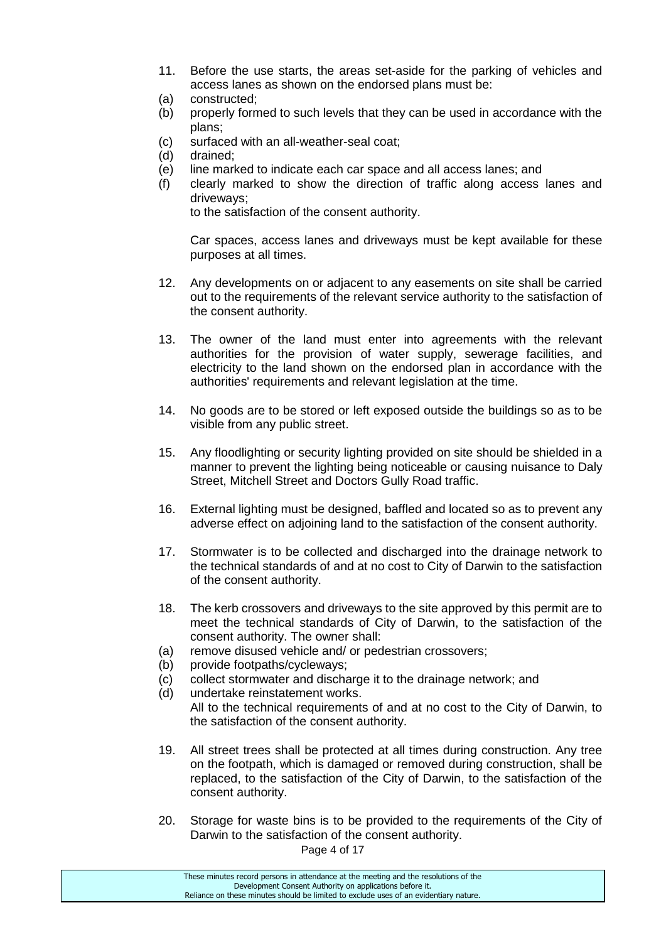- 11. Before the use starts, the areas set-aside for the parking of vehicles and access lanes as shown on the endorsed plans must be:
- (a) constructed;
- (b) properly formed to such levels that they can be used in accordance with the plans;
- (c) surfaced with an all-weather-seal coat;
- (d) drained;
- (e) line marked to indicate each car space and all access lanes; and
- (f) clearly marked to show the direction of traffic along access lanes and driveways;

to the satisfaction of the consent authority.

Car spaces, access lanes and driveways must be kept available for these purposes at all times.

- 12. Any developments on or adjacent to any easements on site shall be carried out to the requirements of the relevant service authority to the satisfaction of the consent authority.
- 13. The owner of the land must enter into agreements with the relevant authorities for the provision of water supply, sewerage facilities, and electricity to the land shown on the endorsed plan in accordance with the authorities' requirements and relevant legislation at the time.
- 14. No goods are to be stored or left exposed outside the buildings so as to be visible from any public street.
- 15. Any floodlighting or security lighting provided on site should be shielded in a manner to prevent the lighting being noticeable or causing nuisance to Daly Street, Mitchell Street and Doctors Gully Road traffic.
- 16. External lighting must be designed, baffled and located so as to prevent any adverse effect on adjoining land to the satisfaction of the consent authority.
- 17. Stormwater is to be collected and discharged into the drainage network to the technical standards of and at no cost to City of Darwin to the satisfaction of the consent authority.
- 18. The kerb crossovers and driveways to the site approved by this permit are to meet the technical standards of City of Darwin, to the satisfaction of the consent authority. The owner shall:
- (a) remove disused vehicle and/ or pedestrian crossovers;
- (b) provide footpaths/cycleways;
- (c) collect stormwater and discharge it to the drainage network; and
- (d) undertake reinstatement works. All to the technical requirements of and at no cost to the City of Darwin, to the satisfaction of the consent authority.
- 19. All street trees shall be protected at all times during construction. Any tree on the footpath, which is damaged or removed during construction, shall be replaced, to the satisfaction of the City of Darwin, to the satisfaction of the consent authority.
- 20. Storage for waste bins is to be provided to the requirements of the City of Darwin to the satisfaction of the consent authority.

Page 4 of 17

These minutes record persons in attendance at the meeting and the resolutions of the Development Consent Authority on applications before it. Reliance on these minutes should be limited to exclude uses of an evidentiary nature.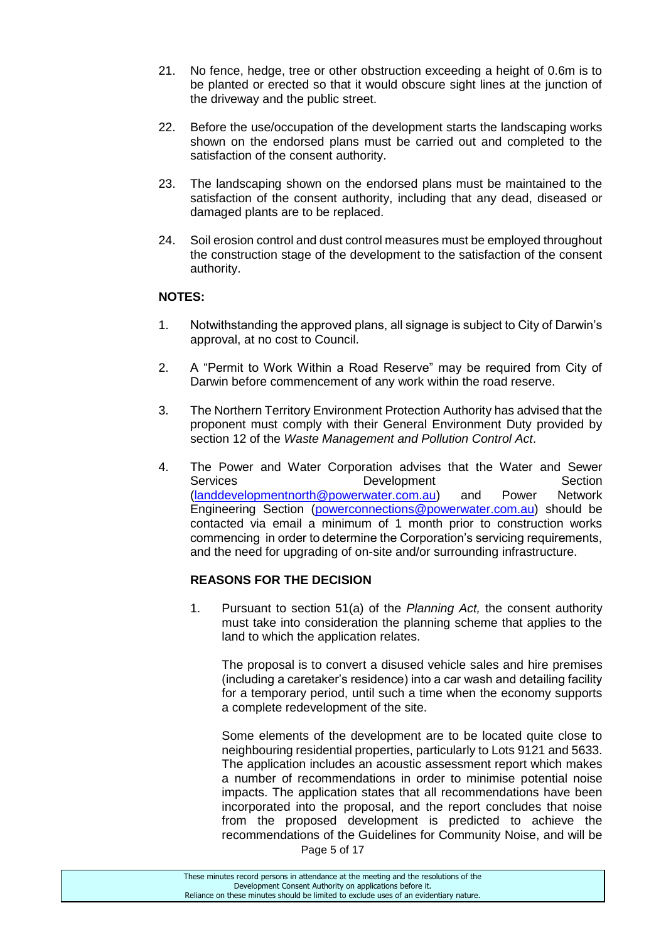- 21. No fence, hedge, tree or other obstruction exceeding a height of 0.6m is to be planted or erected so that it would obscure sight lines at the junction of the driveway and the public street.
- 22. Before the use/occupation of the development starts the landscaping works shown on the endorsed plans must be carried out and completed to the satisfaction of the consent authority.
- 23. The landscaping shown on the endorsed plans must be maintained to the satisfaction of the consent authority, including that any dead, diseased or damaged plants are to be replaced.
- 24. Soil erosion control and dust control measures must be employed throughout the construction stage of the development to the satisfaction of the consent authority.

## **NOTES:**

- 1. Notwithstanding the approved plans, all signage is subject to City of Darwin's approval, at no cost to Council.
- 2. A "Permit to Work Within a Road Reserve" may be required from City of Darwin before commencement of any work within the road reserve.
- 3. The Northern Territory Environment Protection Authority has advised that the proponent must comply with their General Environment Duty provided by section 12 of the *Waste Management and Pollution Control Act*.
- 4. The Power and Water Corporation advises that the Water and Sewer Services **Development** Development Section [\(landdevelopmentnorth@powerwater.com.au\)](mailto:landdevelopmentnorth@powerwater.com.au) and Power Network Engineering Section [\(powerconnections@powerwater.com.au\)](mailto:powerconnections@powerwater.com.au) should be contacted via email a minimum of 1 month prior to construction works commencing in order to determine the Corporation's servicing requirements, and the need for upgrading of on-site and/or surrounding infrastructure.

## **REASONS FOR THE DECISION**

1. Pursuant to section 51(a) of the *Planning Act,* the consent authority must take into consideration the planning scheme that applies to the land to which the application relates.

The proposal is to convert a disused vehicle sales and hire premises (including a caretaker's residence) into a car wash and detailing facility for a temporary period, until such a time when the economy supports a complete redevelopment of the site.

Some elements of the development are to be located quite close to neighbouring residential properties, particularly to Lots 9121 and 5633. The application includes an acoustic assessment report which makes a number of recommendations in order to minimise potential noise impacts. The application states that all recommendations have been incorporated into the proposal, and the report concludes that noise from the proposed development is predicted to achieve the recommendations of the Guidelines for Community Noise, and will be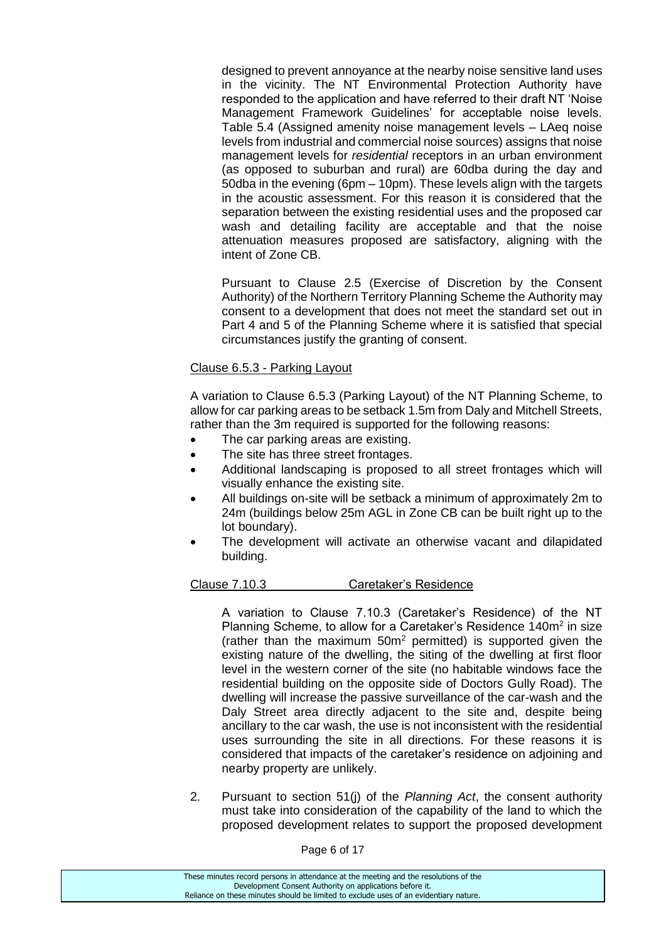designed to prevent annoyance at the nearby noise sensitive land uses in the vicinity. The NT Environmental Protection Authority have responded to the application and have referred to their draft NT 'Noise Management Framework Guidelines' for acceptable noise levels. Table 5.4 (Assigned amenity noise management levels – LAeq noise levels from industrial and commercial noise sources) assigns that noise management levels for *residential* receptors in an urban environment (as opposed to suburban and rural) are 60dba during the day and 50dba in the evening (6pm – 10pm). These levels align with the targets in the acoustic assessment. For this reason it is considered that the separation between the existing residential uses and the proposed car wash and detailing facility are acceptable and that the noise attenuation measures proposed are satisfactory, aligning with the intent of Zone CB.

Pursuant to Clause 2.5 (Exercise of Discretion by the Consent Authority) of the Northern Territory Planning Scheme the Authority may consent to a development that does not meet the standard set out in Part 4 and 5 of the Planning Scheme where it is satisfied that special circumstances justify the granting of consent.

#### Clause 6.5.3 - Parking Layout

A variation to Clause 6.5.3 (Parking Layout) of the NT Planning Scheme, to allow for car parking areas to be setback 1.5m from Daly and Mitchell Streets, rather than the 3m required is supported for the following reasons:

- The car parking areas are existing.
- The site has three street frontages.
- Additional landscaping is proposed to all street frontages which will visually enhance the existing site.
- All buildings on-site will be setback a minimum of approximately 2m to 24m (buildings below 25m AGL in Zone CB can be built right up to the lot boundary).
- The development will activate an otherwise vacant and dilapidated building.

#### Clause 7.10.3 Caretaker's Residence

A variation to Clause 7.10.3 (Caretaker's Residence) of the NT Planning Scheme, to allow for a Caretaker's Residence 140m<sup>2</sup> in size (rather than the maximum  $50m^2$  permitted) is supported given the existing nature of the dwelling, the siting of the dwelling at first floor level in the western corner of the site (no habitable windows face the residential building on the opposite side of Doctors Gully Road). The dwelling will increase the passive surveillance of the car-wash and the Daly Street area directly adjacent to the site and, despite being ancillary to the car wash, the use is not inconsistent with the residential uses surrounding the site in all directions. For these reasons it is considered that impacts of the caretaker's residence on adjoining and nearby property are unlikely.

2. Pursuant to section 51(j) of the *Planning Act*, the consent authority must take into consideration of the capability of the land to which the proposed development relates to support the proposed development

| These minutes record persons in attendance at the meeting and the resolutions of the  |
|---------------------------------------------------------------------------------------|
| Development Consent Authority on applications before it.                              |
| Reliance on these minutes should be limited to exclude uses of an evidentiary nature. |
|                                                                                       |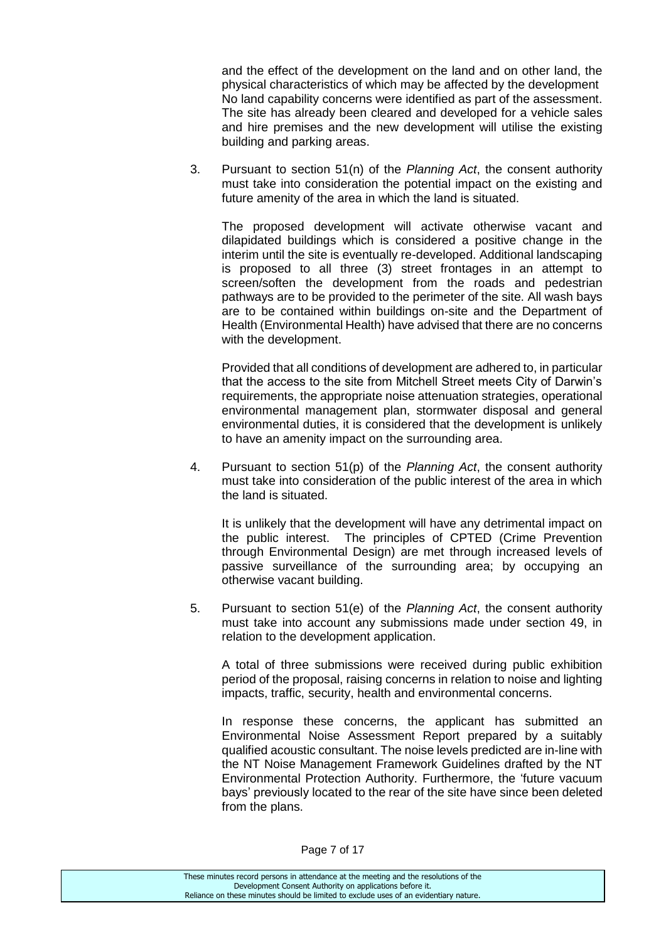and the effect of the development on the land and on other land, the physical characteristics of which may be affected by the development No land capability concerns were identified as part of the assessment. The site has already been cleared and developed for a vehicle sales and hire premises and the new development will utilise the existing building and parking areas.

3. Pursuant to section 51(n) of the *Planning Act*, the consent authority must take into consideration the potential impact on the existing and future amenity of the area in which the land is situated.

The proposed development will activate otherwise vacant and dilapidated buildings which is considered a positive change in the interim until the site is eventually re-developed. Additional landscaping is proposed to all three (3) street frontages in an attempt to screen/soften the development from the roads and pedestrian pathways are to be provided to the perimeter of the site. All wash bays are to be contained within buildings on-site and the Department of Health (Environmental Health) have advised that there are no concerns with the development.

Provided that all conditions of development are adhered to, in particular that the access to the site from Mitchell Street meets City of Darwin's requirements, the appropriate noise attenuation strategies, operational environmental management plan, stormwater disposal and general environmental duties, it is considered that the development is unlikely to have an amenity impact on the surrounding area.

4. Pursuant to section 51(p) of the *Planning Act*, the consent authority must take into consideration of the public interest of the area in which the land is situated.

It is unlikely that the development will have any detrimental impact on the public interest. The principles of CPTED (Crime Prevention through Environmental Design) are met through increased levels of passive surveillance of the surrounding area; by occupying an otherwise vacant building.

5. Pursuant to section 51(e) of the *Planning Act*, the consent authority must take into account any submissions made under section 49, in relation to the development application.

A total of three submissions were received during public exhibition period of the proposal, raising concerns in relation to noise and lighting impacts, traffic, security, health and environmental concerns.

In response these concerns, the applicant has submitted an Environmental Noise Assessment Report prepared by a suitably qualified acoustic consultant. The noise levels predicted are in-line with the NT Noise Management Framework Guidelines drafted by the NT Environmental Protection Authority. Furthermore, the 'future vacuum bays' previously located to the rear of the site have since been deleted from the plans.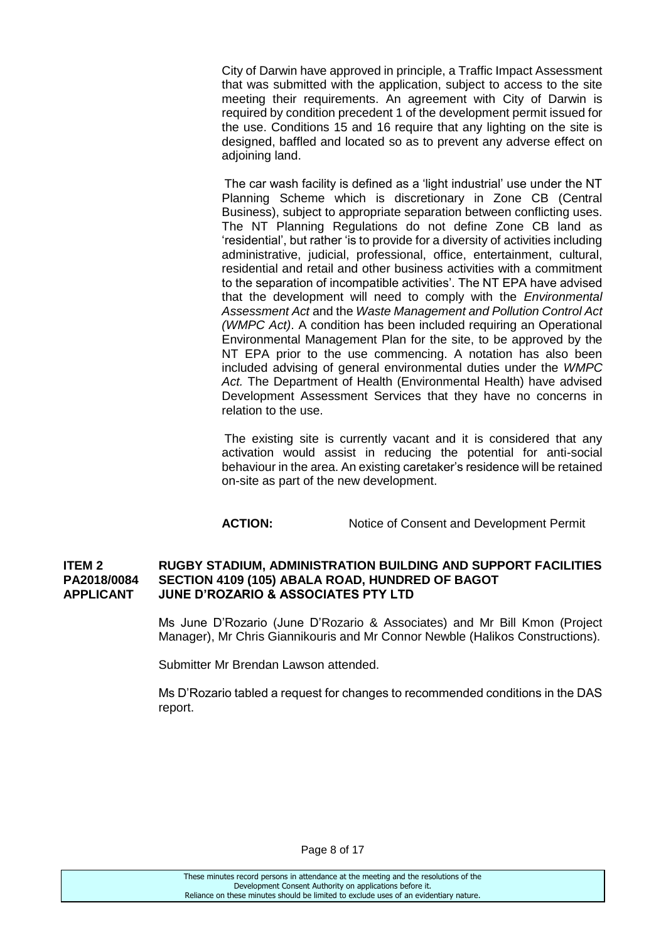City of Darwin have approved in principle, a Traffic Impact Assessment that was submitted with the application, subject to access to the site meeting their requirements. An agreement with City of Darwin is required by condition precedent 1 of the development permit issued for the use. Conditions 15 and 16 require that any lighting on the site is designed, baffled and located so as to prevent any adverse effect on adjoining land.

The car wash facility is defined as a 'light industrial' use under the NT Planning Scheme which is discretionary in Zone CB (Central Business), subject to appropriate separation between conflicting uses. The NT Planning Regulations do not define Zone CB land as 'residential', but rather 'is to provide for a diversity of activities including administrative, judicial, professional, office, entertainment, cultural, residential and retail and other business activities with a commitment to the separation of incompatible activities'. The NT EPA have advised that the development will need to comply with the *Environmental Assessment Act* and the *Waste Management and Pollution Control Act (WMPC Act)*. A condition has been included requiring an Operational Environmental Management Plan for the site, to be approved by the NT EPA prior to the use commencing. A notation has also been included advising of general environmental duties under the *WMPC Act.* The Department of Health (Environmental Health) have advised Development Assessment Services that they have no concerns in relation to the use.

The existing site is currently vacant and it is considered that any activation would assist in reducing the potential for anti-social behaviour in the area. An existing caretaker's residence will be retained on-site as part of the new development.

**ACTION:** Notice of Consent and Development Permit

#### **ITEM 2 RUGBY STADIUM, ADMINISTRATION BUILDING AND SUPPORT FACILITIES PA2018/0084 SECTION 4109 (105) ABALA ROAD, HUNDRED OF BAGOT APPLICANT JUNE D'ROZARIO & ASSOCIATES PTY LTD**

Ms June D'Rozario (June D'Rozario & Associates) and Mr Bill Kmon (Project Manager), Mr Chris Giannikouris and Mr Connor Newble (Halikos Constructions).

Submitter Mr Brendan Lawson attended.

Ms D'Rozario tabled a request for changes to recommended conditions in the DAS report.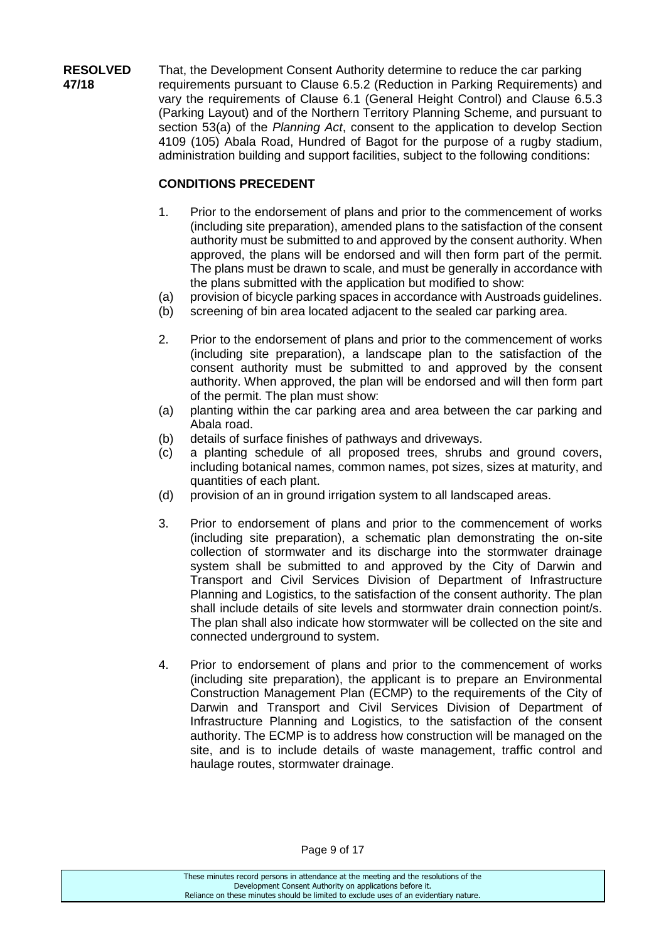**RESOLVED** That, the Development Consent Authority determine to reduce the car parking **47/18** requirements pursuant to Clause 6.5.2 (Reduction in Parking Requirements) and vary the requirements of Clause 6.1 (General Height Control) and Clause 6.5.3 (Parking Layout) and of the Northern Territory Planning Scheme, and pursuant to section 53(a) of the *Planning Act*, consent to the application to develop Section 4109 (105) Abala Road, Hundred of Bagot for the purpose of a rugby stadium, administration building and support facilities, subject to the following conditions:

## **CONDITIONS PRECEDENT**

- 1. Prior to the endorsement of plans and prior to the commencement of works (including site preparation), amended plans to the satisfaction of the consent authority must be submitted to and approved by the consent authority. When approved, the plans will be endorsed and will then form part of the permit. The plans must be drawn to scale, and must be generally in accordance with the plans submitted with the application but modified to show:
- (a) provision of bicycle parking spaces in accordance with Austroads guidelines.
- (b) screening of bin area located adjacent to the sealed car parking area.
- 2. Prior to the endorsement of plans and prior to the commencement of works (including site preparation), a landscape plan to the satisfaction of the consent authority must be submitted to and approved by the consent authority. When approved, the plan will be endorsed and will then form part of the permit. The plan must show:
- (a) planting within the car parking area and area between the car parking and Abala road.
- (b) details of surface finishes of pathways and driveways.
- (c) a planting schedule of all proposed trees, shrubs and ground covers, including botanical names, common names, pot sizes, sizes at maturity, and quantities of each plant.
- (d) provision of an in ground irrigation system to all landscaped areas.
- 3. Prior to endorsement of plans and prior to the commencement of works (including site preparation), a schematic plan demonstrating the on-site collection of stormwater and its discharge into the stormwater drainage system shall be submitted to and approved by the City of Darwin and Transport and Civil Services Division of Department of Infrastructure Planning and Logistics, to the satisfaction of the consent authority. The plan shall include details of site levels and stormwater drain connection point/s. The plan shall also indicate how stormwater will be collected on the site and connected underground to system.
- 4. Prior to endorsement of plans and prior to the commencement of works (including site preparation), the applicant is to prepare an Environmental Construction Management Plan (ECMP) to the requirements of the City of Darwin and Transport and Civil Services Division of Department of Infrastructure Planning and Logistics, to the satisfaction of the consent authority. The ECMP is to address how construction will be managed on the site, and is to include details of waste management, traffic control and haulage routes, stormwater drainage.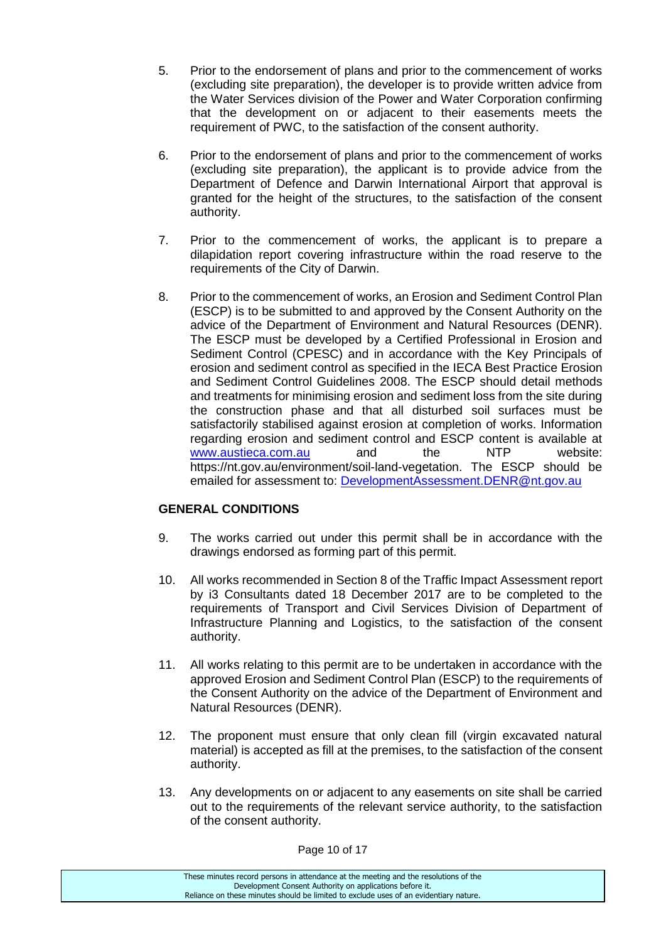- 5. Prior to the endorsement of plans and prior to the commencement of works (excluding site preparation), the developer is to provide written advice from the Water Services division of the Power and Water Corporation confirming that the development on or adjacent to their easements meets the requirement of PWC, to the satisfaction of the consent authority.
- 6. Prior to the endorsement of plans and prior to the commencement of works (excluding site preparation), the applicant is to provide advice from the Department of Defence and Darwin International Airport that approval is granted for the height of the structures, to the satisfaction of the consent authority.
- 7. Prior to the commencement of works, the applicant is to prepare a dilapidation report covering infrastructure within the road reserve to the requirements of the City of Darwin.
- 8. Prior to the commencement of works, an Erosion and Sediment Control Plan (ESCP) is to be submitted to and approved by the Consent Authority on the advice of the Department of Environment and Natural Resources (DENR). The ESCP must be developed by a Certified Professional in Erosion and Sediment Control (CPESC) and in accordance with the Key Principals of erosion and sediment control as specified in the IECA Best Practice Erosion and Sediment Control Guidelines 2008. The ESCP should detail methods and treatments for minimising erosion and sediment loss from the site during the construction phase and that all disturbed soil surfaces must be satisfactorily stabilised against erosion at completion of works. Information regarding erosion and sediment control and ESCP content is available at [www.austieca.com.au](http://www.austieca.com.au/) and the NTP website: https://nt.gov.au/environment/soil-land-vegetation. The ESCP should be emailed for assessment to: [DevelopmentAssessment.DENR@nt.gov.au](mailto:DevelopmentAssessment.DENR@nt.gov.au)

## **GENERAL CONDITIONS**

- 9. The works carried out under this permit shall be in accordance with the drawings endorsed as forming part of this permit.
- 10. All works recommended in Section 8 of the Traffic Impact Assessment report by i3 Consultants dated 18 December 2017 are to be completed to the requirements of Transport and Civil Services Division of Department of Infrastructure Planning and Logistics, to the satisfaction of the consent authority.
- 11. All works relating to this permit are to be undertaken in accordance with the approved Erosion and Sediment Control Plan (ESCP) to the requirements of the Consent Authority on the advice of the Department of Environment and Natural Resources (DENR).
- 12. The proponent must ensure that only clean fill (virgin excavated natural material) is accepted as fill at the premises, to the satisfaction of the consent authority.
- 13. Any developments on or adjacent to any easements on site shall be carried out to the requirements of the relevant service authority, to the satisfaction of the consent authority.

Page 10 of 17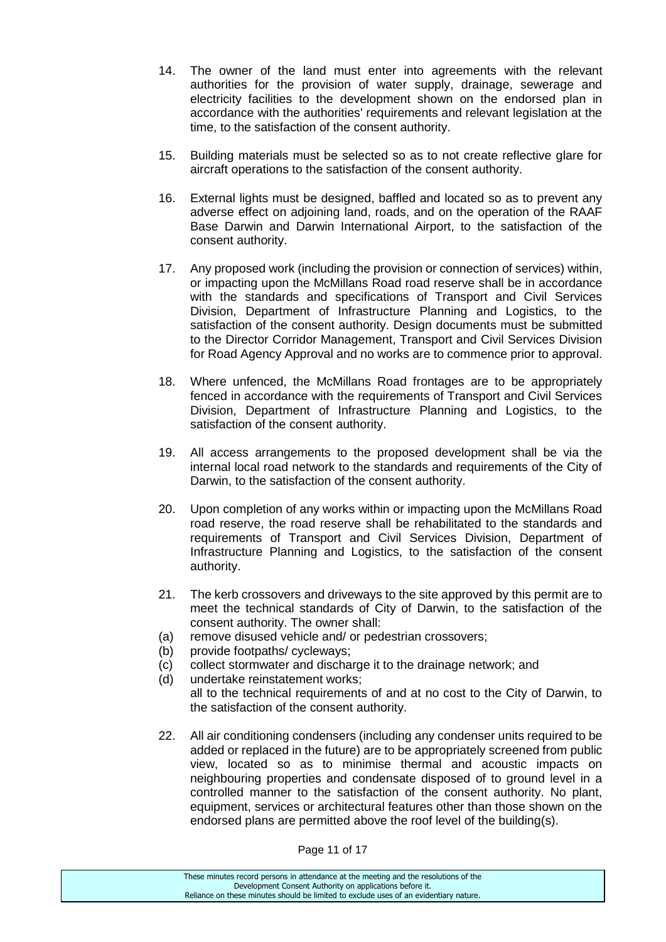- 14. The owner of the land must enter into agreements with the relevant authorities for the provision of water supply, drainage, sewerage and electricity facilities to the development shown on the endorsed plan in accordance with the authorities' requirements and relevant legislation at the time, to the satisfaction of the consent authority.
- 15. Building materials must be selected so as to not create reflective glare for aircraft operations to the satisfaction of the consent authority.
- 16. External lights must be designed, baffled and located so as to prevent any adverse effect on adjoining land, roads, and on the operation of the RAAF Base Darwin and Darwin International Airport, to the satisfaction of the consent authority.
- 17. Any proposed work (including the provision or connection of services) within, or impacting upon the McMillans Road road reserve shall be in accordance with the standards and specifications of Transport and Civil Services Division, Department of Infrastructure Planning and Logistics, to the satisfaction of the consent authority. Design documents must be submitted to the Director Corridor Management, Transport and Civil Services Division for Road Agency Approval and no works are to commence prior to approval.
- 18. Where unfenced, the McMillans Road frontages are to be appropriately fenced in accordance with the requirements of Transport and Civil Services Division, Department of Infrastructure Planning and Logistics, to the satisfaction of the consent authority.
- 19. All access arrangements to the proposed development shall be via the internal local road network to the standards and requirements of the City of Darwin, to the satisfaction of the consent authority.
- 20. Upon completion of any works within or impacting upon the McMillans Road road reserve, the road reserve shall be rehabilitated to the standards and requirements of Transport and Civil Services Division, Department of Infrastructure Planning and Logistics, to the satisfaction of the consent authority.
- 21. The kerb crossovers and driveways to the site approved by this permit are to meet the technical standards of City of Darwin, to the satisfaction of the consent authority. The owner shall:
- (a) remove disused vehicle and/ or pedestrian crossovers;
- (b) provide footpaths/ cycleways;
- (c) collect stormwater and discharge it to the drainage network; and
- (d) undertake reinstatement works; all to the technical requirements of and at no cost to the City of Darwin, to the satisfaction of the consent authority.
- 22. All air conditioning condensers (including any condenser units required to be added or replaced in the future) are to be appropriately screened from public view, located so as to minimise thermal and acoustic impacts on neighbouring properties and condensate disposed of to ground level in a controlled manner to the satisfaction of the consent authority. No plant, equipment, services or architectural features other than those shown on the endorsed plans are permitted above the roof level of the building(s).

These minutes record persons in attendance at the meeting and the resolutions of the Development Consent Authority on applications before it. Reliance on these minutes should be limited to exclude uses of an evidentiary nature.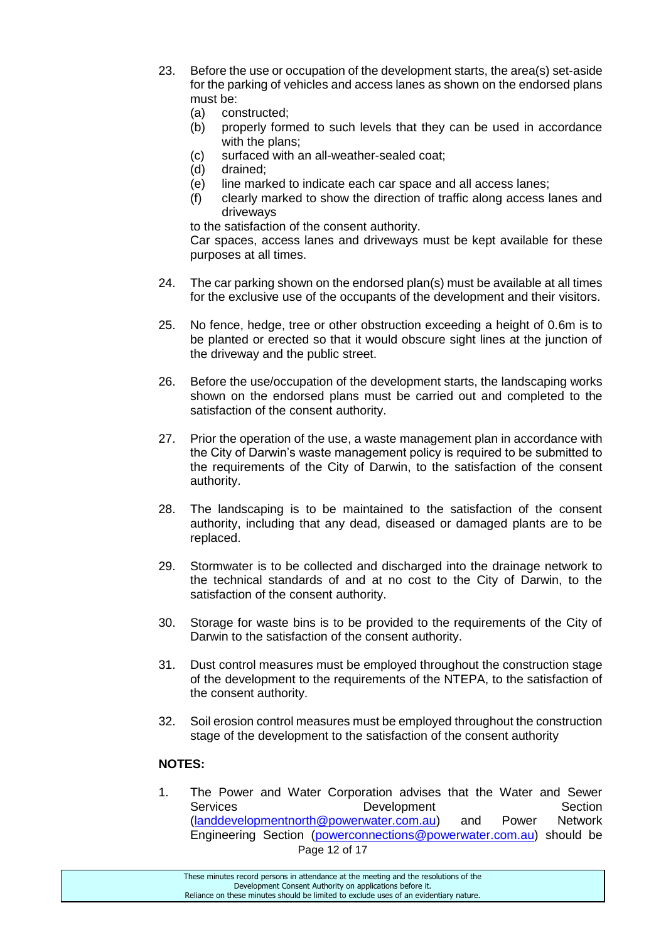- 23. Before the use or occupation of the development starts, the area(s) set-aside for the parking of vehicles and access lanes as shown on the endorsed plans must be:
	- (a) constructed;
	- (b) properly formed to such levels that they can be used in accordance with the plans;
	- (c) surfaced with an all-weather-sealed coat;
	- (d) drained;
	- (e) line marked to indicate each car space and all access lanes;
	- (f) clearly marked to show the direction of traffic along access lanes and driveways

to the satisfaction of the consent authority.

Car spaces, access lanes and driveways must be kept available for these purposes at all times.

- 24. The car parking shown on the endorsed plan(s) must be available at all times for the exclusive use of the occupants of the development and their visitors.
- 25. No fence, hedge, tree or other obstruction exceeding a height of 0.6m is to be planted or erected so that it would obscure sight lines at the junction of the driveway and the public street.
- 26. Before the use/occupation of the development starts, the landscaping works shown on the endorsed plans must be carried out and completed to the satisfaction of the consent authority.
- 27. Prior the operation of the use, a waste management plan in accordance with the City of Darwin's waste management policy is required to be submitted to the requirements of the City of Darwin, to the satisfaction of the consent authority.
- 28. The landscaping is to be maintained to the satisfaction of the consent authority, including that any dead, diseased or damaged plants are to be replaced.
- 29. Stormwater is to be collected and discharged into the drainage network to the technical standards of and at no cost to the City of Darwin, to the satisfaction of the consent authority.
- 30. Storage for waste bins is to be provided to the requirements of the City of Darwin to the satisfaction of the consent authority.
- 31. Dust control measures must be employed throughout the construction stage of the development to the requirements of the NTEPA, to the satisfaction of the consent authority.
- 32. Soil erosion control measures must be employed throughout the construction stage of the development to the satisfaction of the consent authority

## **NOTES:**

Page 12 of 17 1. The Power and Water Corporation advises that the Water and Sewer Services Development Section [\(landdevelopmentnorth@powerwater.com.au\)](mailto:landdevelopmentnorth@powerwater.com.au) and Power Network Engineering Section [\(powerconnections@powerwater.com.au\)](mailto:powerconnections@powerwater.com.au) should be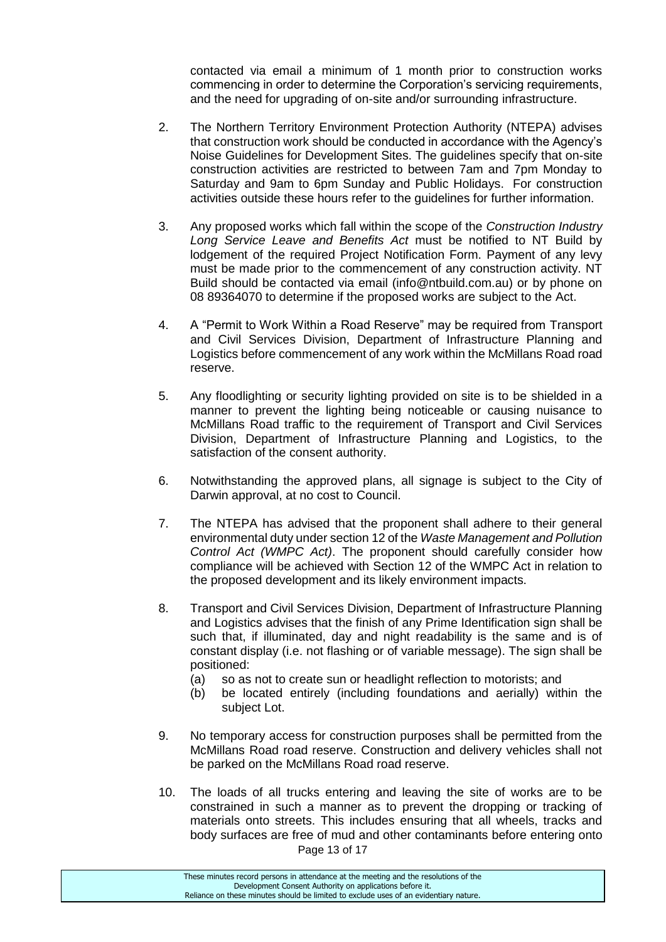contacted via email a minimum of 1 month prior to construction works commencing in order to determine the Corporation's servicing requirements, and the need for upgrading of on-site and/or surrounding infrastructure.

- 2. The Northern Territory Environment Protection Authority (NTEPA) advises that construction work should be conducted in accordance with the Agency's Noise Guidelines for Development Sites. The guidelines specify that on-site construction activities are restricted to between 7am and 7pm Monday to Saturday and 9am to 6pm Sunday and Public Holidays. For construction activities outside these hours refer to the guidelines for further information.
- 3. Any proposed works which fall within the scope of the *Construction Industry Long Service Leave and Benefits Act* must be notified to NT Build by lodgement of the required Project Notification Form. Payment of any levy must be made prior to the commencement of any construction activity. NT Build should be contacted via email (info@ntbuild.com.au) or by phone on 08 89364070 to determine if the proposed works are subject to the Act.
- 4. A "Permit to Work Within a Road Reserve" may be required from Transport and Civil Services Division, Department of Infrastructure Planning and Logistics before commencement of any work within the McMillans Road road reserve.
- 5. Any floodlighting or security lighting provided on site is to be shielded in a manner to prevent the lighting being noticeable or causing nuisance to McMillans Road traffic to the requirement of Transport and Civil Services Division, Department of Infrastructure Planning and Logistics, to the satisfaction of the consent authority.
- 6. Notwithstanding the approved plans, all signage is subject to the City of Darwin approval, at no cost to Council.
- 7. The NTEPA has advised that the proponent shall adhere to their general environmental duty under section 12 of the *Waste Management and Pollution Control Act (WMPC Act)*. The proponent should carefully consider how compliance will be achieved with Section 12 of the WMPC Act in relation to the proposed development and its likely environment impacts.
- 8. Transport and Civil Services Division, Department of Infrastructure Planning and Logistics advises that the finish of any Prime Identification sign shall be such that, if illuminated, day and night readability is the same and is of constant display (i.e. not flashing or of variable message). The sign shall be positioned:
	- (a) so as not to create sun or headlight reflection to motorists; and
	- (b) be located entirely (including foundations and aerially) within the subject Lot.
- 9. No temporary access for construction purposes shall be permitted from the McMillans Road road reserve. Construction and delivery vehicles shall not be parked on the McMillans Road road reserve.
- Page 13 of 17 10. The loads of all trucks entering and leaving the site of works are to be constrained in such a manner as to prevent the dropping or tracking of materials onto streets. This includes ensuring that all wheels, tracks and body surfaces are free of mud and other contaminants before entering onto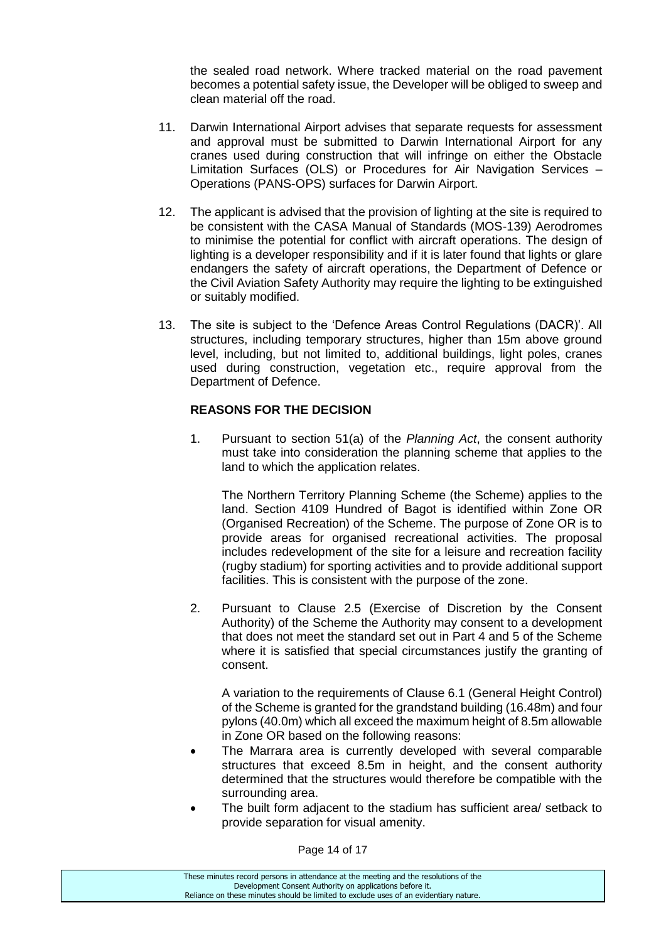the sealed road network. Where tracked material on the road pavement becomes a potential safety issue, the Developer will be obliged to sweep and clean material off the road.

- 11. Darwin International Airport advises that separate requests for assessment and approval must be submitted to Darwin International Airport for any cranes used during construction that will infringe on either the Obstacle Limitation Surfaces (OLS) or Procedures for Air Navigation Services – Operations (PANS-OPS) surfaces for Darwin Airport.
- 12. The applicant is advised that the provision of lighting at the site is required to be consistent with the CASA Manual of Standards (MOS-139) Aerodromes to minimise the potential for conflict with aircraft operations. The design of lighting is a developer responsibility and if it is later found that lights or glare endangers the safety of aircraft operations, the Department of Defence or the Civil Aviation Safety Authority may require the lighting to be extinguished or suitably modified.
- 13. The site is subject to the 'Defence Areas Control Regulations (DACR)'. All structures, including temporary structures, higher than 15m above ground level, including, but not limited to, additional buildings, light poles, cranes used during construction, vegetation etc., require approval from the Department of Defence.

## **REASONS FOR THE DECISION**

1. Pursuant to section 51(a) of the *Planning Act*, the consent authority must take into consideration the planning scheme that applies to the land to which the application relates.

The Northern Territory Planning Scheme (the Scheme) applies to the land. Section 4109 Hundred of Bagot is identified within Zone OR (Organised Recreation) of the Scheme. The purpose of Zone OR is to provide areas for organised recreational activities. The proposal includes redevelopment of the site for a leisure and recreation facility (rugby stadium) for sporting activities and to provide additional support facilities. This is consistent with the purpose of the zone.

2. Pursuant to Clause 2.5 (Exercise of Discretion by the Consent Authority) of the Scheme the Authority may consent to a development that does not meet the standard set out in Part 4 and 5 of the Scheme where it is satisfied that special circumstances justify the granting of consent.

A variation to the requirements of Clause 6.1 (General Height Control) of the Scheme is granted for the grandstand building (16.48m) and four pylons (40.0m) which all exceed the maximum height of 8.5m allowable in Zone OR based on the following reasons:

- The Marrara area is currently developed with several comparable structures that exceed 8.5m in height, and the consent authority determined that the structures would therefore be compatible with the surrounding area.
- The built form adjacent to the stadium has sufficient area/ setback to provide separation for visual amenity.

Page 14 of 17

These minutes record persons in attendance at the meeting and the resolutions of the Development Consent Authority on applications before it. Reliance on these minutes should be limited to exclude uses of an evidentiary nature.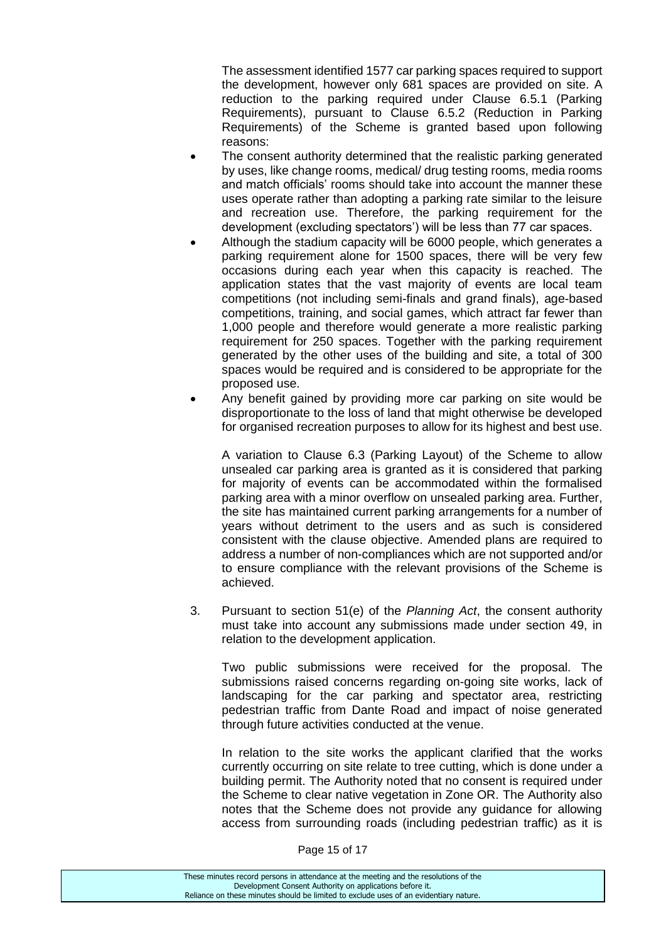The assessment identified 1577 car parking spaces required to support the development, however only 681 spaces are provided on site. A reduction to the parking required under Clause 6.5.1 (Parking Requirements), pursuant to Clause 6.5.2 (Reduction in Parking Requirements) of the Scheme is granted based upon following reasons:

- The consent authority determined that the realistic parking generated by uses, like change rooms, medical/ drug testing rooms, media rooms and match officials' rooms should take into account the manner these uses operate rather than adopting a parking rate similar to the leisure and recreation use. Therefore, the parking requirement for the development (excluding spectators') will be less than 77 car spaces.
- Although the stadium capacity will be 6000 people, which generates a parking requirement alone for 1500 spaces, there will be very few occasions during each year when this capacity is reached. The application states that the vast majority of events are local team competitions (not including semi-finals and grand finals), age-based competitions, training, and social games, which attract far fewer than 1,000 people and therefore would generate a more realistic parking requirement for 250 spaces. Together with the parking requirement generated by the other uses of the building and site, a total of 300 spaces would be required and is considered to be appropriate for the proposed use.
- Any benefit gained by providing more car parking on site would be disproportionate to the loss of land that might otherwise be developed for organised recreation purposes to allow for its highest and best use.

A variation to Clause 6.3 (Parking Layout) of the Scheme to allow unsealed car parking area is granted as it is considered that parking for majority of events can be accommodated within the formalised parking area with a minor overflow on unsealed parking area. Further, the site has maintained current parking arrangements for a number of years without detriment to the users and as such is considered consistent with the clause objective. Amended plans are required to address a number of non-compliances which are not supported and/or to ensure compliance with the relevant provisions of the Scheme is achieved.

3. Pursuant to section 51(e) of the *Planning Act*, the consent authority must take into account any submissions made under section 49, in relation to the development application.

Two public submissions were received for the proposal. The submissions raised concerns regarding on-going site works, lack of landscaping for the car parking and spectator area, restricting pedestrian traffic from Dante Road and impact of noise generated through future activities conducted at the venue.

In relation to the site works the applicant clarified that the works currently occurring on site relate to tree cutting, which is done under a building permit. The Authority noted that no consent is required under the Scheme to clear native vegetation in Zone OR. The Authority also notes that the Scheme does not provide any guidance for allowing access from surrounding roads (including pedestrian traffic) as it is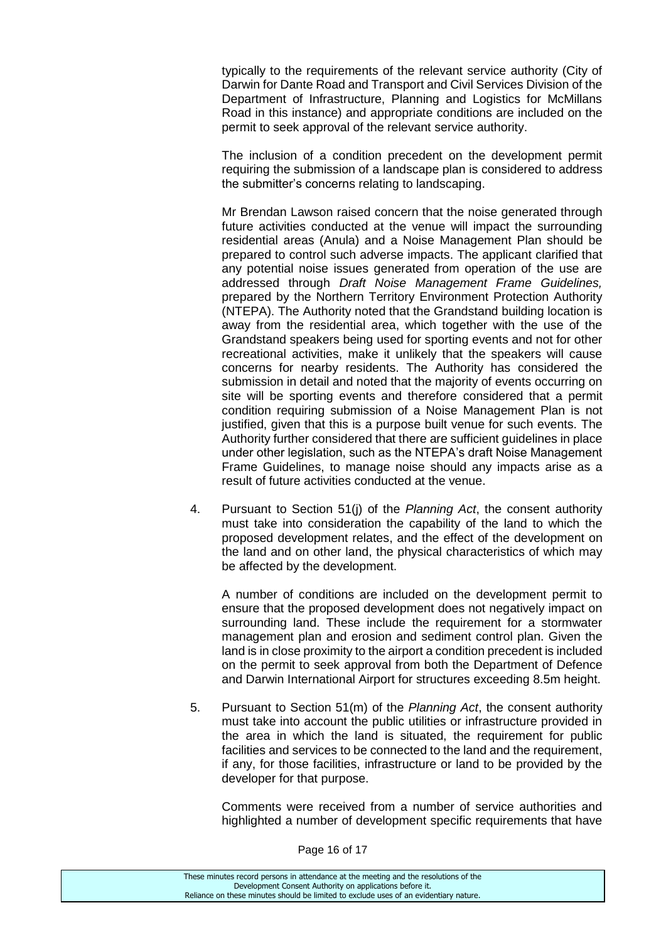typically to the requirements of the relevant service authority (City of Darwin for Dante Road and Transport and Civil Services Division of the Department of Infrastructure, Planning and Logistics for McMillans Road in this instance) and appropriate conditions are included on the permit to seek approval of the relevant service authority.

The inclusion of a condition precedent on the development permit requiring the submission of a landscape plan is considered to address the submitter's concerns relating to landscaping.

Mr Brendan Lawson raised concern that the noise generated through future activities conducted at the venue will impact the surrounding residential areas (Anula) and a Noise Management Plan should be prepared to control such adverse impacts. The applicant clarified that any potential noise issues generated from operation of the use are addressed through *Draft Noise Management Frame Guidelines,*  prepared by the Northern Territory Environment Protection Authority (NTEPA). The Authority noted that the Grandstand building location is away from the residential area, which together with the use of the Grandstand speakers being used for sporting events and not for other recreational activities, make it unlikely that the speakers will cause concerns for nearby residents. The Authority has considered the submission in detail and noted that the majority of events occurring on site will be sporting events and therefore considered that a permit condition requiring submission of a Noise Management Plan is not justified, given that this is a purpose built venue for such events. The Authority further considered that there are sufficient guidelines in place under other legislation, such as the NTEPA's draft Noise Management Frame Guidelines, to manage noise should any impacts arise as a result of future activities conducted at the venue.

4. Pursuant to Section 51(j) of the *Planning Act*, the consent authority must take into consideration the capability of the land to which the proposed development relates, and the effect of the development on the land and on other land, the physical characteristics of which may be affected by the development.

A number of conditions are included on the development permit to ensure that the proposed development does not negatively impact on surrounding land. These include the requirement for a stormwater management plan and erosion and sediment control plan. Given the land is in close proximity to the airport a condition precedent is included on the permit to seek approval from both the Department of Defence and Darwin International Airport for structures exceeding 8.5m height.

5. Pursuant to Section 51(m) of the *Planning Act*, the consent authority must take into account the public utilities or infrastructure provided in the area in which the land is situated, the requirement for public facilities and services to be connected to the land and the requirement, if any, for those facilities, infrastructure or land to be provided by the developer for that purpose.

Comments were received from a number of service authorities and highlighted a number of development specific requirements that have